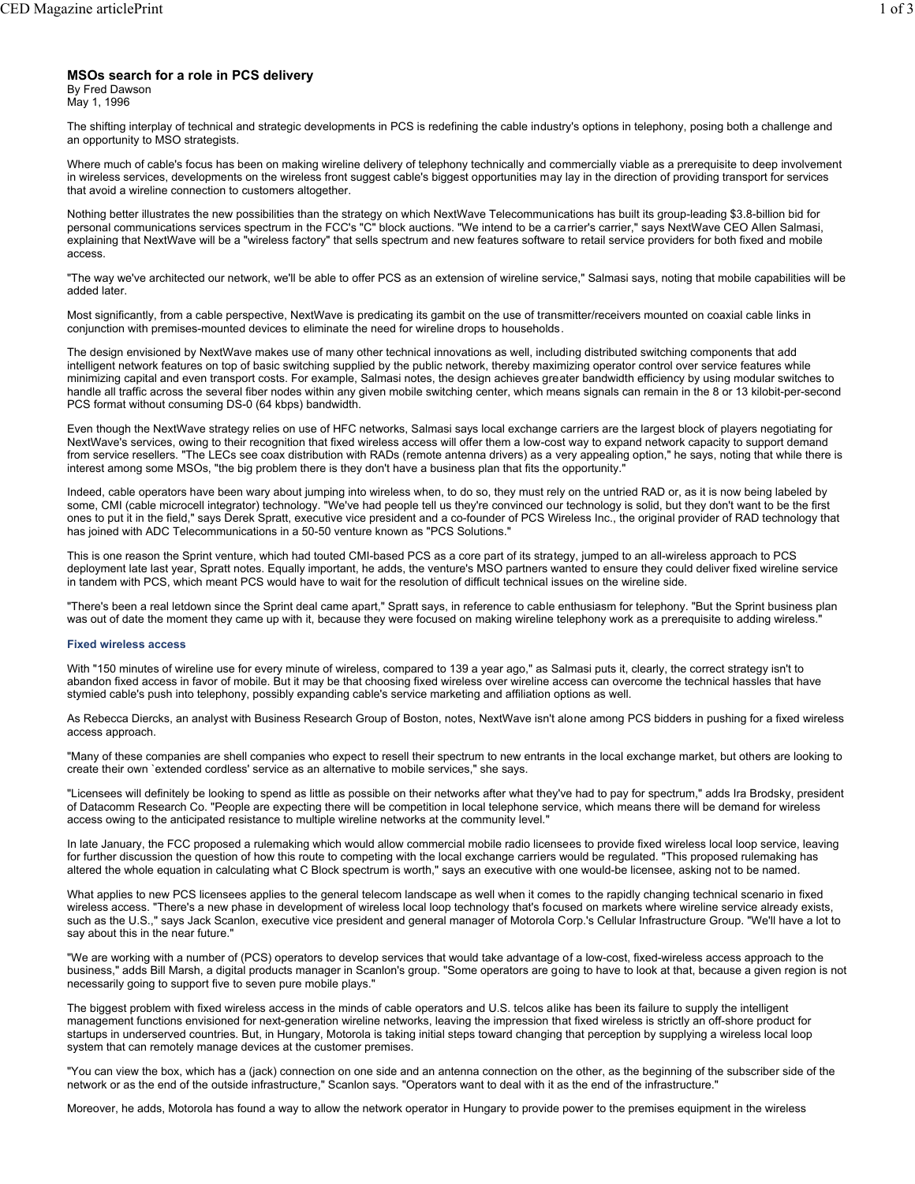# **MSOs search for a role in PCS delivery**

By Fred Dawson

May 1, 1996

The shifting interplay of technical and strategic developments in PCS is redefining the cable industry's options in telephony, posing both a challenge and an opportunity to MSO strategists.

Where much of cable's focus has been on making wireline delivery of telephony technically and commercially viable as a prerequisite to deep involvement in wireless services, developments on the wireless front suggest cable's biggest opportunities may lay in the direction of providing transport for services that avoid a wireline connection to customers altogether.

Nothing better illustrates the new possibilities than the strategy on which NextWave Telecommunications has built its group-leading \$3.8-billion bid for personal communications services spectrum in the FCC's "C" block auctions. "We intend to be a carrier's carrier," says NextWave CEO Allen Salmasi, explaining that NextWave will be a "wireless factory" that sells spectrum and new features software to retail service providers for both fixed and mobile access.

"The way we've architected our network, we'll be able to offer PCS as an extension of wireline service," Salmasi says, noting that mobile capabilities will be added later.

Most significantly, from a cable perspective, NextWave is predicating its gambit on the use of transmitter/receivers mounted on coaxial cable links in conjunction with premises-mounted devices to eliminate the need for wireline drops to households.

The design envisioned by NextWave makes use of many other technical innovations as well, including distributed switching components that add intelligent network features on top of basic switching supplied by the public network, thereby maximizing operator control over service features while minimizing capital and even transport costs. For example, Salmasi notes, the design achieves greater bandwidth efficiency by using modular switches to handle all traffic across the several fiber nodes within any given mobile switching center, which means signals can remain in the 8 or 13 kilobit-per-second PCS format without consuming DS-0 (64 kbps) bandwidth.

Even though the NextWave strategy relies on use of HFC networks, Salmasi says local exchange carriers are the largest block of players negotiating for NextWave's services, owing to their recognition that fixed wireless access will offer them a low-cost way to expand network capacity to support demand from service resellers. "The LECs see coax distribution with RADs (remote antenna drivers) as a very appealing option," he says, noting that while there is interest among some MSOs, "the big problem there is they don't have a business plan that fits the opportunity."

Indeed, cable operators have been wary about jumping into wireless when, to do so, they must rely on the untried RAD or, as it is now being labeled by some, CMI (cable microcell integrator) technology. "We've had people tell us they're convinced our technology is solid, but they don't want to be the first ones to put it in the field," says Derek Spratt, executive vice president and a co-founder of PCS Wireless Inc., the original provider of RAD technology that has joined with ADC Telecommunications in a 50-50 venture known as "PCS Solutions."

This is one reason the Sprint venture, which had touted CMI-based PCS as a core part of its strategy, jumped to an all-wireless approach to PCS deployment late last year, Spratt notes. Equally important, he adds, the venture's MSO partners wanted to ensure they could deliver fixed wireline service in tandem with PCS, which meant PCS would have to wait for the resolution of difficult technical issues on the wireline side.

"There's been a real letdown since the Sprint deal came apart," Spratt says, in reference to cable enthusiasm for telephony. "But the Sprint business plan was out of date the moment they came up with it, because they were focused on making wireline telephony work as a prerequisite to adding wireless."

# **Fixed wireless access**

With "150 minutes of wireline use for every minute of wireless, compared to 139 a year ago," as Salmasi puts it, clearly, the correct strategy isn't to abandon fixed access in favor of mobile. But it may be that choosing fixed wireless over wireline access can overcome the technical hassles that have stymied cable's push into telephony, possibly expanding cable's service marketing and affiliation options as well.

As Rebecca Diercks, an analyst with Business Research Group of Boston, notes, NextWave isn't alone among PCS bidders in pushing for a fixed wireless access approach.

"Many of these companies are shell companies who expect to resell their spectrum to new entrants in the local exchange market, but others are looking to create their own `extended cordless' service as an alternative to mobile services," she says.

"Licensees will definitely be looking to spend as little as possible on their networks after what they've had to pay for spectrum," adds Ira Brodsky, president of Datacomm Research Co. "People are expecting there will be competition in local telephone service, which means there will be demand for wireless access owing to the anticipated resistance to multiple wireline networks at the community level."

In late January, the FCC proposed a rulemaking which would allow commercial mobile radio licensees to provide fixed wireless local loop service, leaving for further discussion the question of how this route to competing with the local exchange carriers would be regulated. "This proposed rulemaking has altered the whole equation in calculating what C Block spectrum is worth," says an executive with one would-be licensee, asking not to be named.

What applies to new PCS licensees applies to the general telecom landscape as well when it comes to the rapidly changing technical scenario in fixed wireless access. "There's a new phase in development of wireless local loop technology that's focused on markets where wireline service already exists, such as the U.S.," says Jack Scanlon, executive vice president and general manager of Motorola Corp.'s Cellular Infrastructure Group. "We'll have a lot to say about this in the near future."

"We are working with a number of (PCS) operators to develop services that would take advantage of a low-cost, fixed-wireless access approach to the business," adds Bill Marsh, a digital products manager in Scanlon's group. "Some operators are going to have to look at that, because a given region is not necessarily going to support five to seven pure mobile plays."

The biggest problem with fixed wireless access in the minds of cable operators and U.S. telcos alike has been its failure to supply the intelligent management functions envisioned for next-generation wireline networks, leaving the impression that fixed wireless is strictly an off-shore product for startups in underserved countries. But, in Hungary, Motorola is taking initial steps toward changing that perception by supplying a wireless local loop system that can remotely manage devices at the customer premises.

"You can view the box, which has a (jack) connection on one side and an antenna connection on the other, as the beginning of the subscriber side of the network or as the end of the outside infrastructure," Scanlon says. "Operators want to deal with it as the end of the infrastructure."

Moreover, he adds, Motorola has found a way to allow the network operator in Hungary to provide power to the premises equipment in the wireless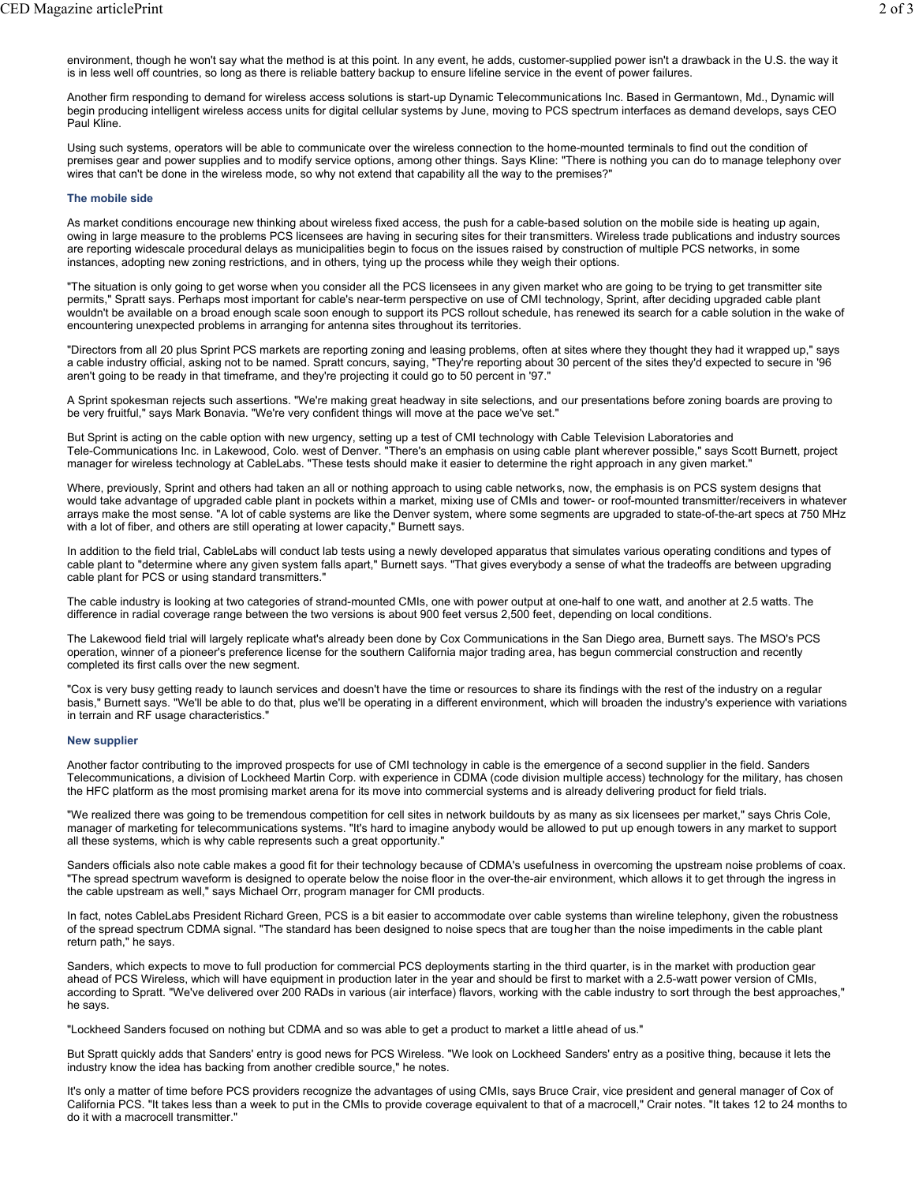environment, though he won't say what the method is at this point. In any event, he adds, customer-supplied power isn't a drawback in the U.S. the way it is in less well off countries, so long as there is reliable battery backup to ensure lifeline service in the event of power failures.

Another firm responding to demand for wireless access solutions is start-up Dynamic Telecommunications Inc. Based in Germantown, Md., Dynamic will begin producing intelligent wireless access units for digital cellular systems by June, moving to PCS spectrum interfaces as demand develops, says CEO Paul Kline.

Using such systems, operators will be able to communicate over the wireless connection to the home-mounted terminals to find out the condition of premises gear and power supplies and to modify service options, among other things. Says Kline: "There is nothing you can do to manage telephony over wires that can't be done in the wireless mode, so why not extend that capability all the way to the premises?"

# **The mobile side**

As market conditions encourage new thinking about wireless fixed access, the push for a cable-based solution on the mobile side is heating up again, owing in large measure to the problems PCS licensees are having in securing sites for their transmitters. Wireless trade publications and industry sources are reporting widescale procedural delays as municipalities begin to focus on the issues raised by construction of multiple PCS networks, in some instances, adopting new zoning restrictions, and in others, tying up the process while they weigh their options.

"The situation is only going to get worse when you consider all the PCS licensees in any given market who are going to be trying to get transmitter site permits," Spratt says. Perhaps most important for cable's near-term perspective on use of CMI technology, Sprint, after deciding upgraded cable plant wouldn't be available on a broad enough scale soon enough to support its PCS rollout schedule, has renewed its search for a cable solution in the wake of encountering unexpected problems in arranging for antenna sites throughout its territories.

"Directors from all 20 plus Sprint PCS markets are reporting zoning and leasing problems, often at sites where they thought they had it wrapped up," says a cable industry official, asking not to be named. Spratt concurs, saying, "They're reporting about 30 percent of the sites they'd expected to secure in '96 aren't going to be ready in that timeframe, and they're projecting it could go to 50 percent in '97."

A Sprint spokesman rejects such assertions. "We're making great headway in site selections, and our presentations before zoning boards are proving to be very fruitful," says Mark Bonavia. "We're very confident things will move at the pace we've set."

But Sprint is acting on the cable option with new urgency, setting up a test of CMI technology with Cable Television Laboratories and Tele-Communications Inc. in Lakewood, Colo. west of Denver. "There's an emphasis on using cable plant wherever possible," says Scott Burnett, project manager for wireless technology at CableLabs. "These tests should make it easier to determine the right approach in any given market."

Where, previously, Sprint and others had taken an all or nothing approach to using cable networks, now, the emphasis is on PCS system designs that would take advantage of upgraded cable plant in pockets within a market, mixing use of CMIs and tower- or roof-mounted transmitter/receivers in whatever arrays make the most sense. "A lot of cable systems are like the Denver system, where some segments are upgraded to state-of-the-art specs at 750 MHz with a lot of fiber, and others are still operating at lower capacity," Burnett says.

In addition to the field trial, CableLabs will conduct lab tests using a newly developed apparatus that simulates various operating conditions and types of cable plant to "determine where any given system falls apart," Burnett says. "That gives everybody a sense of what the tradeoffs are between upgrading cable plant for PCS or using standard transmitters."

The cable industry is looking at two categories of strand-mounted CMIs, one with power output at one-half to one watt, and another at 2.5 watts. The difference in radial coverage range between the two versions is about 900 feet versus 2,500 feet, depending on local conditions.

The Lakewood field trial will largely replicate what's already been done by Cox Communications in the San Diego area, Burnett says. The MSO's PCS operation, winner of a pioneer's preference license for the southern California major trading area, has begun commercial construction and recently completed its first calls over the new segment.

"Cox is very busy getting ready to launch services and doesn't have the time or resources to share its findings with the rest of the industry on a regular basis," Burnett says. "We'll be able to do that, plus we'll be operating in a different environment, which will broaden the industry's experience with variations in terrain and RF usage characteristics."

#### **New supplier**

Another factor contributing to the improved prospects for use of CMI technology in cable is the emergence of a second supplier in the field. Sanders Telecommunications, a division of Lockheed Martin Corp. with experience in CDMA (code division multiple access) technology for the military, has chosen the HFC platform as the most promising market arena for its move into commercial systems and is already delivering product for field trials.

"We realized there was going to be tremendous competition for cell sites in network buildouts by as many as six licensees per market," says Chris Cole, manager of marketing for telecommunications systems. "It's hard to imagine anybody would be allowed to put up enough towers in any market to support all these systems, which is why cable represents such a great opportunity."

Sanders officials also note cable makes a good fit for their technology because of CDMA's usefulness in overcoming the upstream noise problems of coax. "The spread spectrum waveform is designed to operate below the noise floor in the over-the-air environment, which allows it to get through the ingress in the cable upstream as well," says Michael Orr, program manager for CMI products.

In fact, notes CableLabs President Richard Green, PCS is a bit easier to accommodate over cable systems than wireline telephony, given the robustness of the spread spectrum CDMA signal. "The standard has been designed to noise specs that are tougher than the noise impediments in the cable plant return path," he says.

Sanders, which expects to move to full production for commercial PCS deployments starting in the third quarter, is in the market with production gear ahead of PCS Wireless, which will have equipment in production later in the year and should be first to market with a 2.5-watt power version of CMIs, according to Spratt. "We've delivered over 200 RADs in various (air interface) flavors, working with the cable industry to sort through the best approaches," he says.

"Lockheed Sanders focused on nothing but CDMA and so was able to get a product to market a little ahead of us."

But Spratt quickly adds that Sanders' entry is good news for PCS Wireless. "We look on Lockheed Sanders' entry as a positive thing, because it lets the industry know the idea has backing from another credible source," he notes.

It's only a matter of time before PCS providers recognize the advantages of using CMIs, says Bruce Crair, vice president and general manager of Cox of California PCS. "It takes less than a week to put in the CMIs to provide coverage equivalent to that of a macrocell," Crair notes. "It takes 12 to 24 months to do it with a macrocell transmitter."